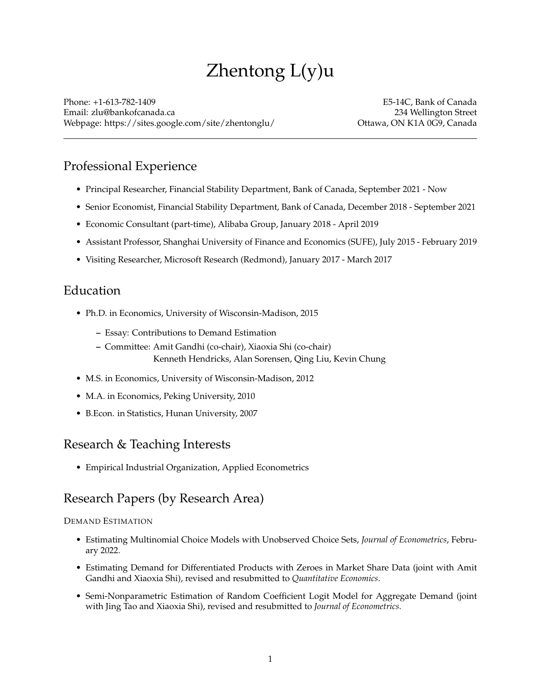# Zhentong L(y)u

Phone: +1-613-782-1409 E5-14C, Bank of Canada Email: [zlu@bankofcanada.ca](mailto:zlu@bankofcanada.ca) 234 Wellington Street Webpage: <https://sites.google.com/site/zhentonglu/> Ottawa, ON K1A 0G9, Canada

### Professional Experience

- Principal Researcher, Financial Stability Department, Bank of Canada, September 2021 Now
- Senior Economist, Financial Stability Department, Bank of Canada, December 2018 September 2021
- Economic Consultant (part-time), Alibaba Group, January 2018 April 2019
- Assistant Professor, Shanghai University of Finance and Economics (SUFE), July 2015 February 2019
- Visiting Researcher, Microsoft Research (Redmond), January 2017 March 2017

### Education

- Ph.D. in Economics, University of Wisconsin-Madison, 2015
	- **–** Essay: Contributions to Demand Estimation
	- **–** Committee: Amit Gandhi (co-chair), Xiaoxia Shi (co-chair) Kenneth Hendricks, Alan Sorensen, Qing Liu, Kevin Chung
- M.S. in Economics, University of Wisconsin-Madison, 2012
- M.A. in Economics, Peking University, 2010
- B.Econ. in Statistics, Hunan University, 2007

### Research & Teaching Interests

• Empirical Industrial Organization, Applied Econometrics

### Research Papers (by Research Area)

#### DEMAND ESTIMATION

- Estimating Multinomial Choice Models with Unobserved Choice Sets, *Journal of Econometrics*, February 2022.
- Estimating Demand for Differentiated Products with Zeroes in Market Share Data (joint with Amit Gandhi and Xiaoxia Shi), revised and resubmitted to *Quantitative Economics*.
- Semi-Nonparametric Estimation of Random Coefficient Logit Model for Aggregate Demand (joint with Jing Tao and Xiaoxia Shi), revised and resubmitted to *Journal of Econometrics*.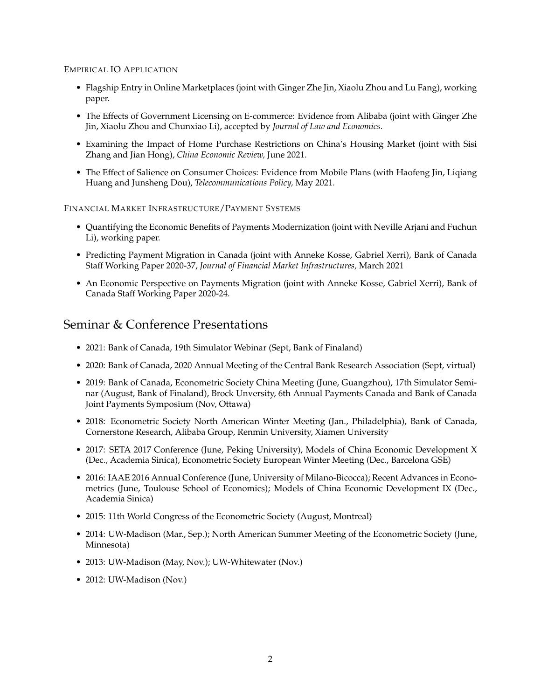#### EMPIRICAL IO APPLICATION

- Flagship Entry in Online Marketplaces (joint with Ginger Zhe Jin, Xiaolu Zhou and Lu Fang), working paper.
- The Effects of Government Licensing on E-commerce: Evidence from Alibaba (joint with Ginger Zhe Jin, Xiaolu Zhou and Chunxiao Li), accepted by *Journal of Law and Economics*.
- Examining the Impact of Home Purchase Restrictions on China's Housing Market (joint with Sisi Zhang and Jian Hong), *China Economic Review,* June 2021.
- The Effect of Salience on Consumer Choices: Evidence from Mobile Plans (with Haofeng Jin, Liqiang Huang and Junsheng Dou), *Telecommunications Policy,* May 2021*.*

#### FINANCIAL MARKET INFRASTRUCTURE/PAYMENT SYSTEMS

- Quantifying the Economic Benefits of Payments Modernization (joint with Neville Arjani and Fuchun Li), working paper.
- Predicting Payment Migration in Canada (joint with Anneke Kosse, Gabriel Xerri), Bank of Canada Staff Working Paper 2020-37, *Journal of Financial Market Infrastructures,* March 2021
- An Economic Perspective on Payments Migration (joint with Anneke Kosse, Gabriel Xerri), Bank of Canada Staff Working Paper 2020-24.

### Seminar & Conference Presentations

- 2021: Bank of Canada, 19th Simulator Webinar (Sept, Bank of Finaland)
- 2020: Bank of Canada, 2020 Annual Meeting of the Central Bank Research Association (Sept, virtual)
- 2019: Bank of Canada, Econometric Society China Meeting (June, Guangzhou), 17th Simulator Seminar (August, Bank of Finaland), Brock Unversity, 6th Annual Payments Canada and Bank of Canada Joint Payments Symposium (Nov, Ottawa)
- 2018: Econometric Society North American Winter Meeting (Jan., Philadelphia), Bank of Canada, Cornerstone Research, Alibaba Group, Renmin University, Xiamen University
- 2017: SETA 2017 Conference (June, Peking University), Models of China Economic Development X (Dec., Academia Sinica), Econometric Society European Winter Meeting (Dec., Barcelona GSE)
- 2016: IAAE 2016 Annual Conference (June, University of Milano-Bicocca); Recent Advances in Econometrics (June, Toulouse School of Economics); Models of China Economic Development IX (Dec., Academia Sinica)
- 2015: 11th World Congress of the Econometric Society (August, Montreal)
- 2014: UW-Madison (Mar., Sep.); North American Summer Meeting of the Econometric Society (June, Minnesota)
- 2013: UW-Madison (May, Nov.); UW-Whitewater (Nov.)
- 2012: UW-Madison (Nov.)